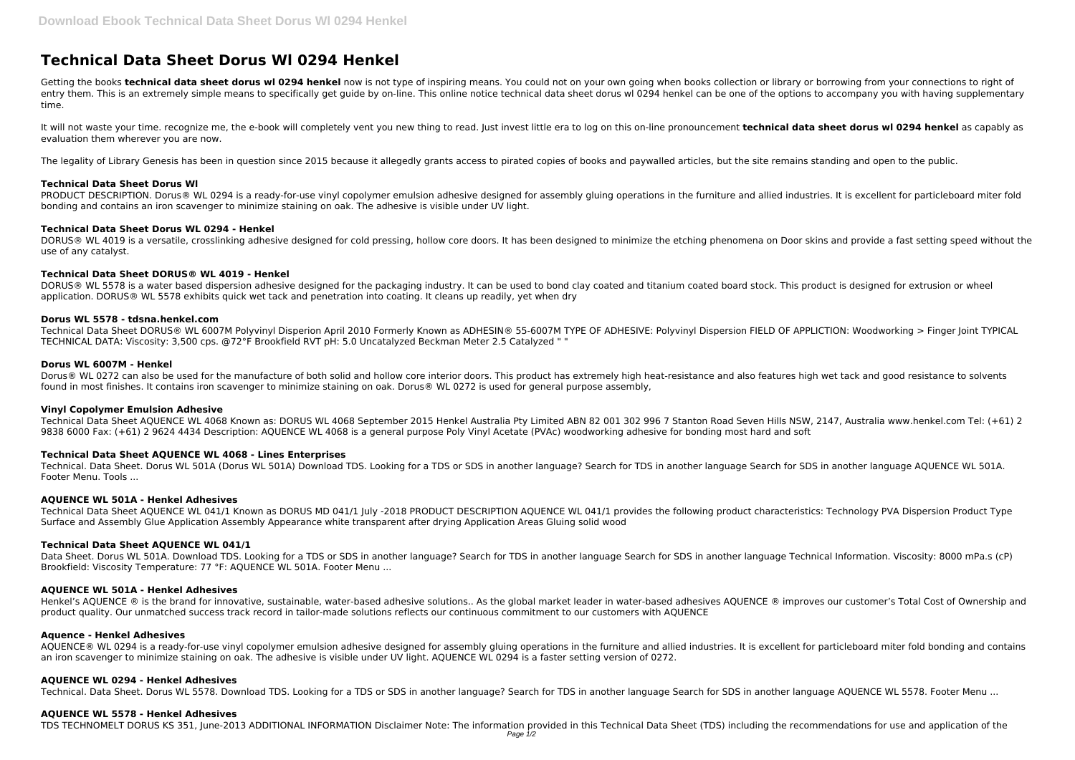# **Technical Data Sheet Dorus Wl 0294 Henkel**

Getting the books technical data sheet dorus wl 0294 henkel now is not type of inspiring means. You could not on your own going when books collection or library or borrowing from your connections to right of entry them. This is an extremely simple means to specifically get guide by on-line. This online notice technical data sheet dorus wl 0294 henkel can be one of the options to accompany you with having supplementary time.

It will not waste your time. recognize me, the e-book will completely vent you new thing to read. Just invest little era to log on this on-line pronouncement **technical data sheet dorus wl 0294 henkel** as capably as evaluation them wherever you are now.

The legality of Library Genesis has been in question since 2015 because it allegedly grants access to pirated copies of books and paywalled articles, but the site remains standing and open to the public.

PRODUCT DESCRIPTION. Dorus® WL 0294 is a ready-for-use vinyl copolymer emulsion adhesive designed for assembly gluing operations in the furniture and allied industries. It is excellent for particleboard miter fold bonding and contains an iron scavenger to minimize staining on oak. The adhesive is visible under UV light.

DORUS® WL 4019 is a versatile, crosslinking adhesive designed for cold pressing, hollow core doors. It has been designed to minimize the etching phenomena on Door skins and provide a fast setting speed without the use of any catalyst.

# **Technical Data Sheet Dorus Wl**

Dorus® WL 0272 can also be used for the manufacture of both solid and hollow core interior doors. This product has extremely high heat-resistance and also features high wet tack and good resistance to solvents found in most finishes. It contains iron scavenger to minimize staining on oak. Dorus® WL 0272 is used for general purpose assembly,

# **Technical Data Sheet Dorus WL 0294 - Henkel**

# **Technical Data Sheet DORUS® WL 4019 - Henkel**

DORUS® WL 5578 is a water based dispersion adhesive designed for the packaging industry. It can be used to bond clay coated and titanium coated board stock. This product is designed for extrusion or wheel application. DORUS® WL 5578 exhibits quick wet tack and penetration into coating. It cleans up readily, yet when dry

## **Dorus WL 5578 - tdsna.henkel.com**

Technical Data Sheet DORUS® WL 6007M Polyvinyl Disperion April 2010 Formerly Known as ADHESIN® 55-6007M TYPE OF ADHESIVE: Polyvinyl Dispersion FIELD OF APPLICTION: Woodworking > Finger Joint TYPICAL TECHNICAL DATA: Viscosity: 3,500 cps. @72°F Brookfield RVT pH: 5.0 Uncatalyzed Beckman Meter 2.5 Catalyzed " "

Henkel's AQUENCE ® is the brand for innovative, sustainable, water-based adhesive solutions.. As the global market leader in water-based adhesives AQUENCE ® improves our customer's Total Cost of Ownership and product quality. Our unmatched success track record in tailor-made solutions reflects our continuous commitment to our customers with AQUENCE

## **Dorus WL 6007M - Henkel**

AQUENCE® WL 0294 is a ready-for-use vinyl copolymer emulsion adhesive designed for assembly gluing operations in the furniture and allied industries. It is excellent for particleboard miter fold bonding and contains an iron scavenger to minimize staining on oak. The adhesive is visible under UV light. AQUENCE WL 0294 is a faster setting version of 0272.

## **Vinyl Copolymer Emulsion Adhesive**

Technical Data Sheet AQUENCE WL 4068 Known as: DORUS WL 4068 September 2015 Henkel Australia Pty Limited ABN 82 001 302 996 7 Stanton Road Seven Hills NSW, 2147, Australia www.henkel.com Tel: (+61) 2 9838 6000 Fax: (+61) 2 9624 4434 Description: AQUENCE WL 4068 is a general purpose Poly Vinyl Acetate (PVAc) woodworking adhesive for bonding most hard and soft

# **Technical Data Sheet AQUENCE WL 4068 - Lines Enterprises**

Technical. Data Sheet. Dorus WL 501A (Dorus WL 501A) Download TDS. Looking for a TDS or SDS in another language? Search for TDS in another language Search for SDS in another language AQUENCE WL 501A. Footer Menu. Tools ...

## **AQUENCE WL 501A - Henkel Adhesives**

Technical Data Sheet AQUENCE WL 041/1 Known as DORUS MD 041/1 July -2018 PRODUCT DESCRIPTION AQUENCE WL 041/1 provides the following product characteristics: Technology PVA Dispersion Product Type Surface and Assembly Glue Application Assembly Appearance white transparent after drying Application Areas Gluing solid wood

## **Technical Data Sheet AQUENCE WL 041/1**

Data Sheet. Dorus WL 501A. Download TDS. Looking for a TDS or SDS in another language? Search for TDS in another language Search for SDS in another language Technical Information. Viscosity: 8000 mPa.s (cP) Brookfield: Viscosity Temperature: 77 °F: AQUENCE WL 501A. Footer Menu ...

## **AQUENCE WL 501A - Henkel Adhesives**

## **Aquence - Henkel Adhesives**

## **AQUENCE WL 0294 - Henkel Adhesives**

Technical. Data Sheet. Dorus WL 5578. Download TDS. Looking for a TDS or SDS in another language? Search for TDS in another language Search for SDS in another language AQUENCE WL 5578. Footer Menu ...

## **AQUENCE WL 5578 - Henkel Adhesives**

TDS TECHNOMELT DORUS KS 351, June-2013 ADDITIONAL INFORMATION Disclaimer Note: The information provided in this Technical Data Sheet (TDS) including the recommendations for use and application of the Page 1/2